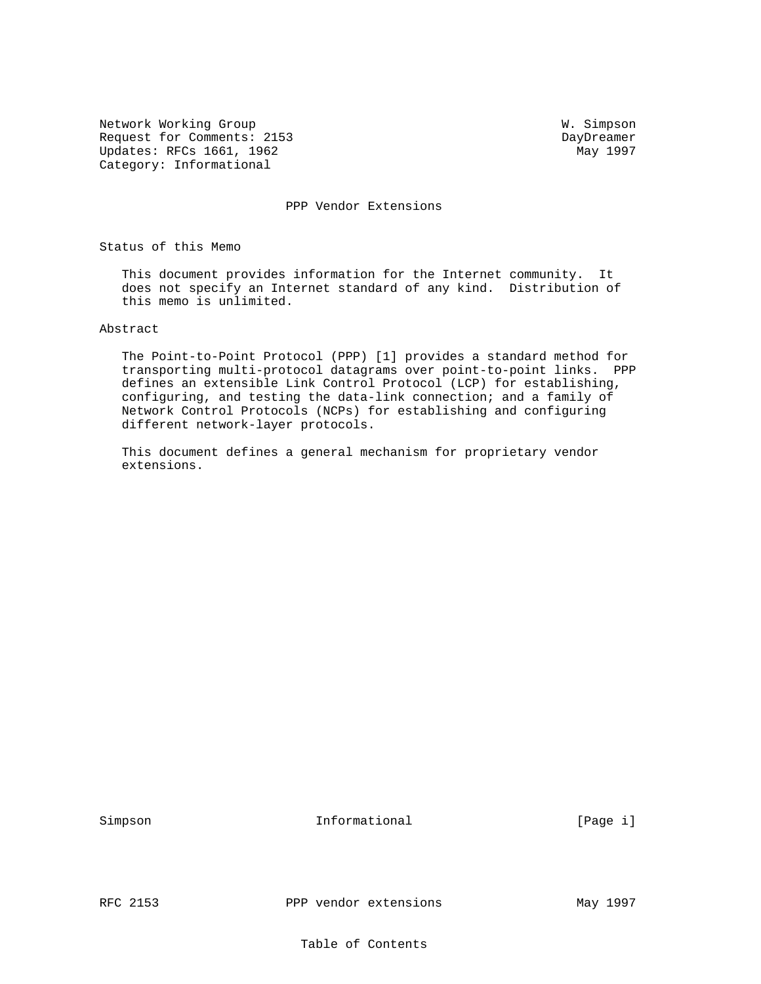Network Working Group W. Simpson Request for Comments: 2153<br>
Updates: RFCs 1661, 1962<br>
May 1997 Updates: RFCs 1661, 1962 Category: Informational

PPP Vendor Extensions

Status of this Memo

 This document provides information for the Internet community. It does not specify an Internet standard of any kind. Distribution of this memo is unlimited.

Abstract

 The Point-to-Point Protocol (PPP) [1] provides a standard method for transporting multi-protocol datagrams over point-to-point links. PPP defines an extensible Link Control Protocol (LCP) for establishing, configuring, and testing the data-link connection; and a family of Network Control Protocols (NCPs) for establishing and configuring different network-layer protocols.

 This document defines a general mechanism for proprietary vendor extensions.

Simpson 10 Informational 10 (Page i)

RFC 2153 PPP vendor extensions May 1997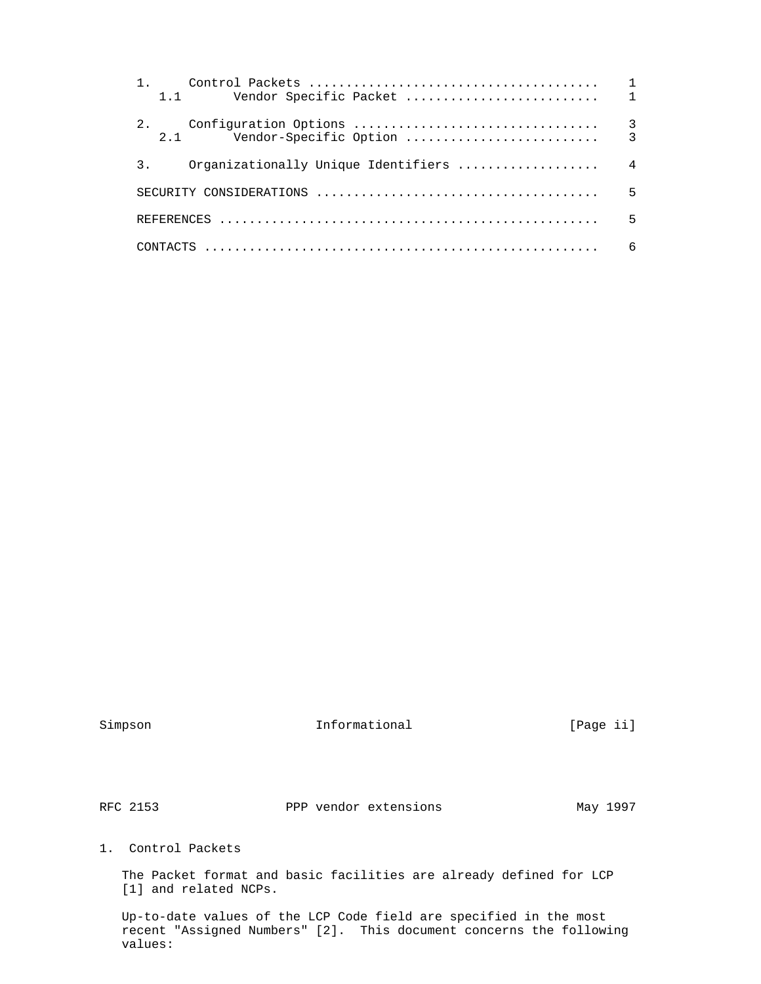| $1 \quad 1$                               |                |
|-------------------------------------------|----------------|
| 2.<br>2.1                                 |                |
| Organizationally Unique Identifiers<br>3. | $\overline{4}$ |
|                                           | 5              |
|                                           | 5              |
|                                           | 6              |

Simpson 10 Informational [Page ii]

RFC 2153 PPP vendor extensions May 1997

1. Control Packets

 The Packet format and basic facilities are already defined for LCP [1] and related NCPs.

 Up-to-date values of the LCP Code field are specified in the most recent "Assigned Numbers" [2]. This document concerns the following values: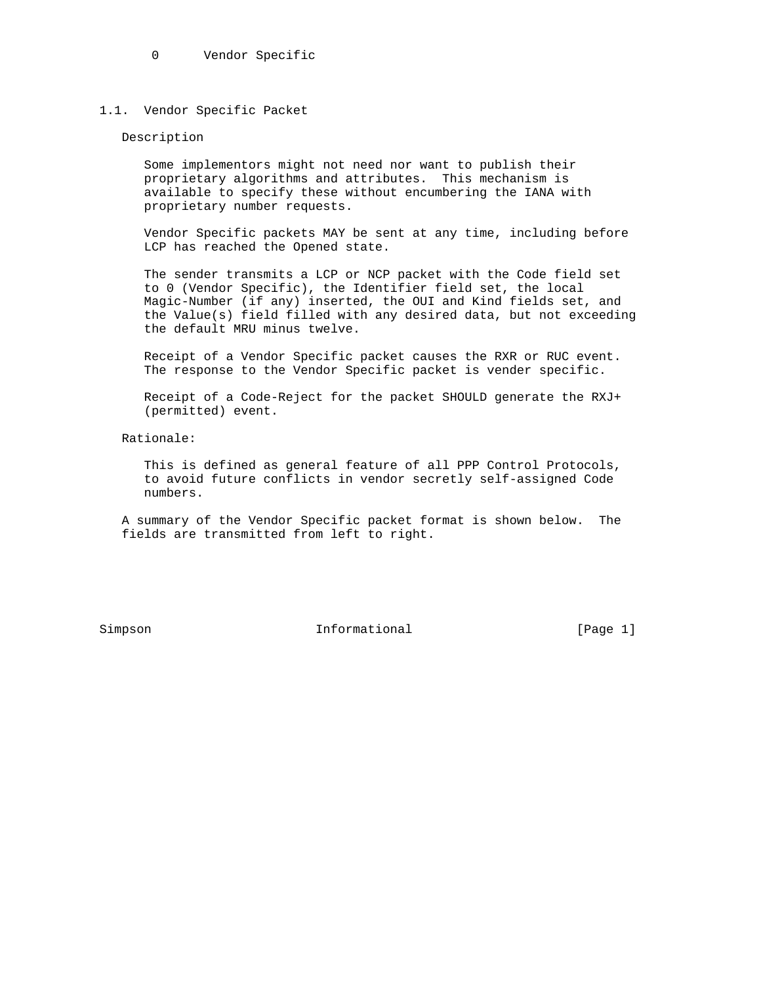0 Vendor Specific

### 1.1. Vendor Specific Packet

#### Description

 Some implementors might not need nor want to publish their proprietary algorithms and attributes. This mechanism is available to specify these without encumbering the IANA with proprietary number requests.

 Vendor Specific packets MAY be sent at any time, including before LCP has reached the Opened state.

 The sender transmits a LCP or NCP packet with the Code field set to 0 (Vendor Specific), the Identifier field set, the local Magic-Number (if any) inserted, the OUI and Kind fields set, and the Value(s) field filled with any desired data, but not exceeding the default MRU minus twelve.

 Receipt of a Vendor Specific packet causes the RXR or RUC event. The response to the Vendor Specific packet is vender specific.

 Receipt of a Code-Reject for the packet SHOULD generate the RXJ+ (permitted) event.

Rationale:

 This is defined as general feature of all PPP Control Protocols, to avoid future conflicts in vendor secretly self-assigned Code numbers.

 A summary of the Vendor Specific packet format is shown below. The fields are transmitted from left to right.

Simpson 10 Informational [Page 1]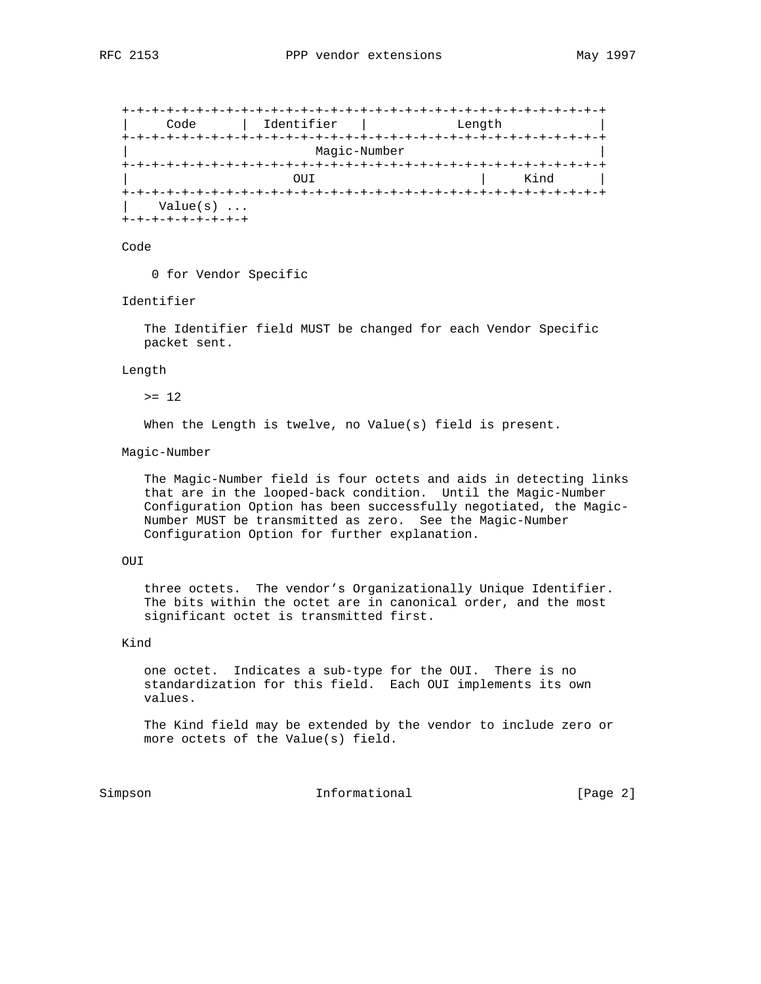+-+-+-+-+-+-+-+-+-+-+-+-+-+-+-+-+-+-+-+-+-+-+-+-+-+-+-+-+-+-+-+-+ | Code | Identifier | Length | +-+-+-+-+-+-+-+-+-+-+-+-+-+-+-+-+-+-+-+-+-+-+-+-+-+-+-+-+-+-+-+-+ | Magic-Number | +-+-+-+-+-+-+-+-+-+-+-+-+-+-+-+-+-+-+-+-+-+-+-+-+-+-+-+-+-+-+-+-+ OUI | Kind | +-+-+-+-+-+-+-+-+-+-+-+-+-+-+-+-+-+-+-+-+-+-+-+-+-+-+-+-+-+-+-+-+ | Value(s) ... +-+-+-+-+-+-+-+-+

#### Code

0 for Vendor Specific

#### Identifier

 The Identifier field MUST be changed for each Vendor Specific packet sent.

#### Length

 $>= 12$ 

When the Length is twelve, no Value(s) field is present.

#### Magic-Number

 The Magic-Number field is four octets and aids in detecting links that are in the looped-back condition. Until the Magic-Number Configuration Option has been successfully negotiated, the Magic- Number MUST be transmitted as zero. See the Magic-Number Configuration Option for further explanation.

## OUI

 three octets. The vendor's Organizationally Unique Identifier. The bits within the octet are in canonical order, and the most significant octet is transmitted first.

# Kind

 one octet. Indicates a sub-type for the OUI. There is no standardization for this field. Each OUI implements its own values.

 The Kind field may be extended by the vendor to include zero or more octets of the Value(s) field.

Simpson 10 Informational 10 (Page 2)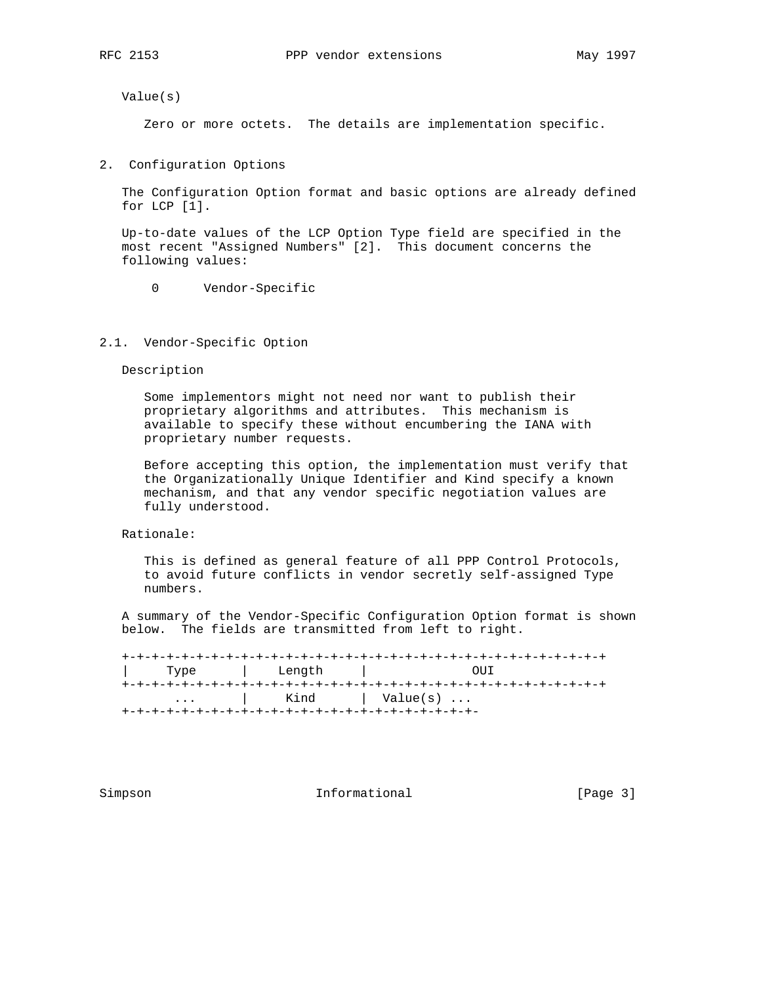Value(s)

Zero or more octets. The details are implementation specific.

2. Configuration Options

 The Configuration Option format and basic options are already defined for LCP [1].

 Up-to-date values of the LCP Option Type field are specified in the most recent "Assigned Numbers" [2]. This document concerns the following values:

0 Vendor-Specific

## 2.1. Vendor-Specific Option

Description

 Some implementors might not need nor want to publish their proprietary algorithms and attributes. This mechanism is available to specify these without encumbering the IANA with proprietary number requests.

 Before accepting this option, the implementation must verify that the Organizationally Unique Identifier and Kind specify a known mechanism, and that any vendor specific negotiation values are fully understood.

Rationale:

 This is defined as general feature of all PPP Control Protocols, to avoid future conflicts in vendor secretly self-assigned Type numbers.

 A summary of the Vendor-Specific Configuration Option format is shown below. The fields are transmitted from left to right.

 +-+-+-+-+-+-+-+-+-+-+-+-+-+-+-+-+-+-+-+-+-+-+-+-+-+-+-+-+-+-+-+-+ | Type | Length | OUI +-+-+-+-+-+-+-+-+-+-+-+-+-+-+-+-+-+-+-+-+-+-+-+-+-+-+-+-+-+-+-+-+ ... | Kind | Value(s) ... +-+-+-+-+-+-+-+-+-+-+-+-+-+-+-+-+-+-+-+-+-+-+-+-

Simpson 10 Informational [Page 3]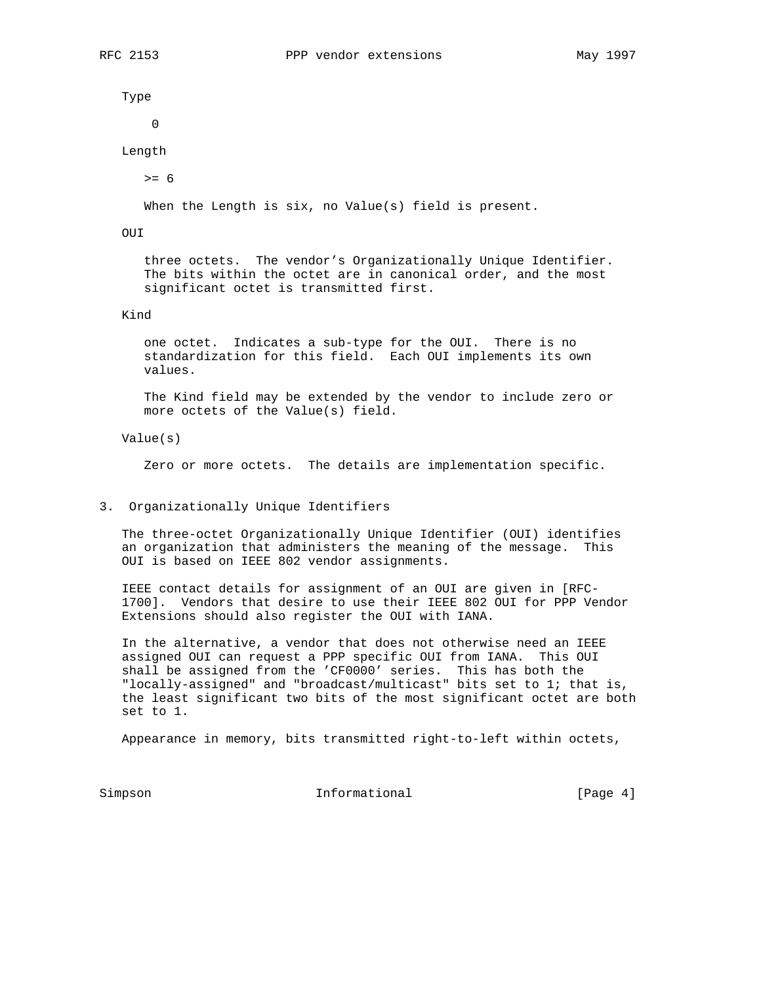Type

 $\overline{0}$ 

Length

>= 6

When the Length is six, no Value(s) field is present.

OUI

 three octets. The vendor's Organizationally Unique Identifier. The bits within the octet are in canonical order, and the most significant octet is transmitted first.

## Kind

 one octet. Indicates a sub-type for the OUI. There is no standardization for this field. Each OUI implements its own values.

 The Kind field may be extended by the vendor to include zero or more octets of the Value(s) field.

Value(s)

Zero or more octets. The details are implementation specific.

#### 3. Organizationally Unique Identifiers

 The three-octet Organizationally Unique Identifier (OUI) identifies an organization that administers the meaning of the message. This OUI is based on IEEE 802 vendor assignments.

 IEEE contact details for assignment of an OUI are given in [RFC- 1700]. Vendors that desire to use their IEEE 802 OUI for PPP Vendor Extensions should also register the OUI with IANA.

 In the alternative, a vendor that does not otherwise need an IEEE assigned OUI can request a PPP specific OUI from IANA. This OUI shall be assigned from the 'CF0000' series. This has both the "locally-assigned" and "broadcast/multicast" bits set to 1; that is, the least significant two bits of the most significant octet are both set to 1.

Appearance in memory, bits transmitted right-to-left within octets,

Simpson 10 Informational [Page 4]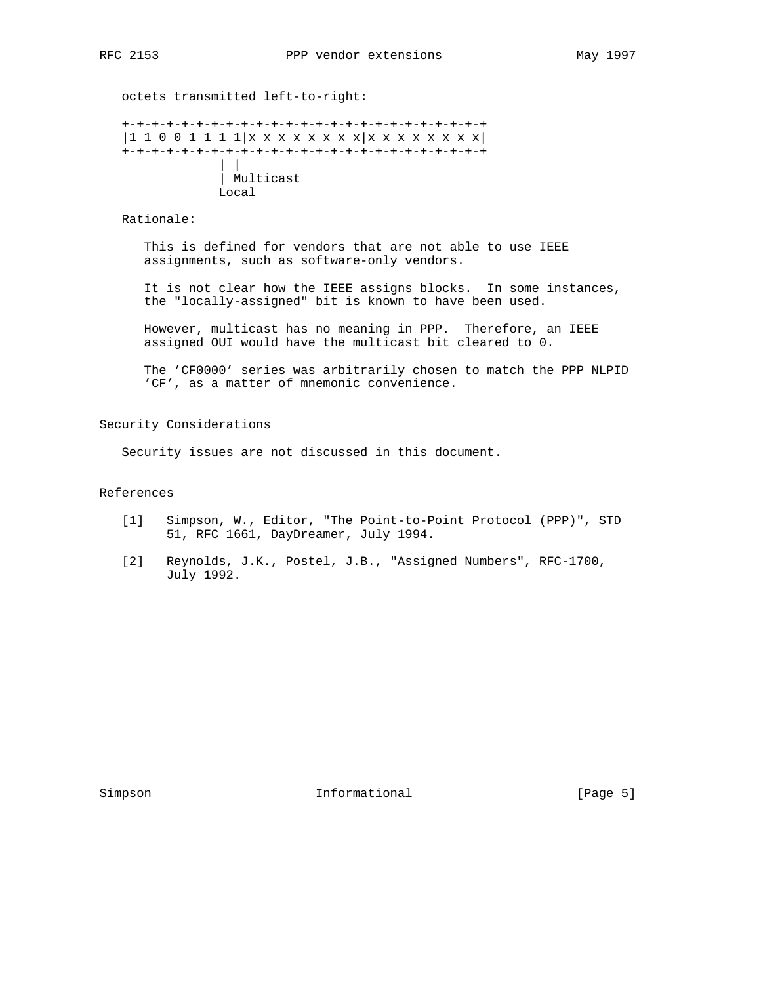octets transmitted left-to-right:

```
 +-+-+-+-+-+-+-+-+-+-+-+-+-+-+-+-+-+-+-+-+-+-+-+-+
 |1 1 0 0 1 1 1 1|x x x x x x x x|x x x x x x x x|
 +-+-+-+-+-+-+-+-+-+-+-+-+-+-+-+-+-+-+-+-+-+-+-+-+
              \| \cdot \| | Multicast
              Local
```
Rationale:

 This is defined for vendors that are not able to use IEEE assignments, such as software-only vendors.

 It is not clear how the IEEE assigns blocks. In some instances, the "locally-assigned" bit is known to have been used.

 However, multicast has no meaning in PPP. Therefore, an IEEE assigned OUI would have the multicast bit cleared to 0.

 The 'CF0000' series was arbitrarily chosen to match the PPP NLPID 'CF', as a matter of mnemonic convenience.

Security Considerations

Security issues are not discussed in this document.

# References

- [1] Simpson, W., Editor, "The Point-to-Point Protocol (PPP)", STD 51, RFC 1661, DayDreamer, July 1994.
- [2] Reynolds, J.K., Postel, J.B., "Assigned Numbers", RFC-1700, July 1992.

Simpson 10 Informational [Page 5]